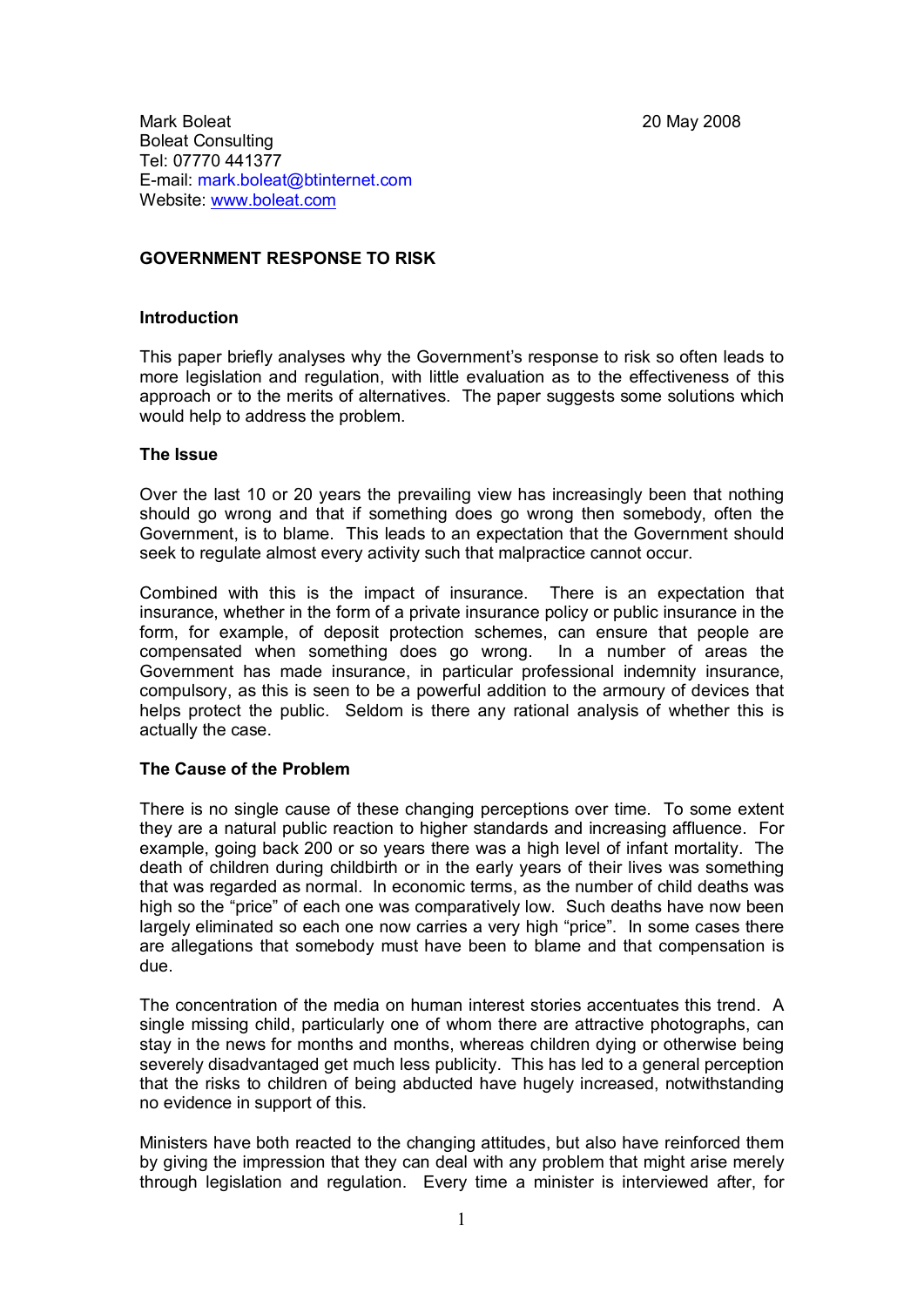Mark Boleat 20 May 2008 Boleat Consulting Tel: 07770 441377 E-mail: mark.boleat@btinternet.com Website: [www.boleat.com](http://www.boleat.com/)

# **GOVERNMENT RESPONSE TO RISK**

## **Introduction**

This paper briefly analyses why the Government's response to risk so often leads to more legislation and regulation, with little evaluation as to the effectiveness of this approach or to the merits of alternatives. The paper suggests some solutions which would help to address the problem.

#### **The Issue**

Over the last 10 or 20 years the prevailing view has increasingly been that nothing should go wrong and that if something does go wrong then somebody, often the Government, is to blame. This leads to an expectation that the Government should seek to regulate almost every activity such that malpractice cannot occur.

Combined with this is the impact of insurance. There is an expectation that insurance, whether in the form of a private insurance policy or public insurance in the form, for example, of deposit protection schemes, can ensure that people are compensated when something does go wrong. In a number of areas the Government has made insurance, in particular professional indemnity insurance, compulsory, as this is seen to be a powerful addition to the armoury of devices that helps protect the public. Seldom is there any rational analysis of whether this is actually the case.

#### **The Cause of the Problem**

There is no single cause of these changing perceptions over time. To some extent they are a natural public reaction to higher standards and increasing affluence. For example, going back 200 or so years there was a high level of infant mortality. The death of children during childbirth or in the early years of their lives was something that was regarded as normal. In economic terms, as the number of child deaths was high so the "price" of each one was comparatively low. Such deaths have now been largely eliminated so each one now carries a very high "price". In some cases there are allegations that somebody must have been to blame and that compensation is due.

The concentration of the media on human interest stories accentuates this trend. A single missing child, particularly one of whom there are attractive photographs, can stay in the news for months and months, whereas children dying or otherwise being severely disadvantaged get much less publicity. This has led to a general perception that the risks to children of being abducted have hugely increased, notwithstanding no evidence in support of this.

Ministers have both reacted to the changing attitudes, but also have reinforced them by giving the impression that they can deal with any problem that might arise merely through legislation and regulation. Every time a minister is interviewed after, for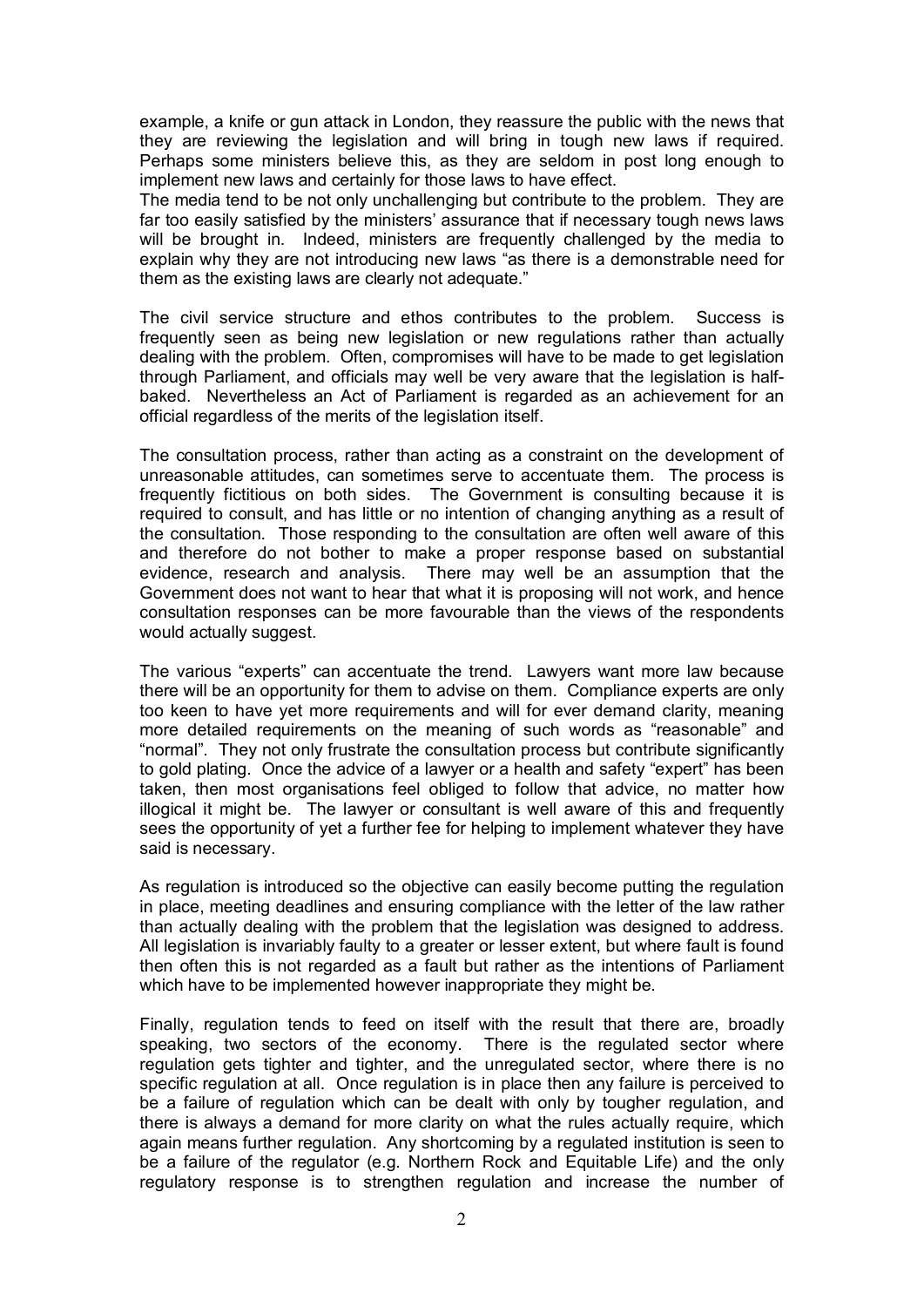example, a knife or gun attack in London, they reassure the public with the news that they are reviewing the legislation and will bring in tough new laws if required. Perhaps some ministers believe this, as they are seldom in post long enough to implement new laws and certainly for those laws to have effect.

The media tend to be not only unchallenging but contribute to the problem. They are far too easily satisfied by the ministers' assurance that if necessary tough news laws will be brought in. Indeed, ministers are frequently challenged by the media to explain why they are not introducing new laws "as there is a demonstrable need for them as the existing laws are clearly not adequate."

The civil service structure and ethos contributes to the problem. Success is frequently seen as being new legislation or new regulations rather than actually dealing with the problem. Often, compromises will have to be made to get legislation through Parliament, and officials may well be very aware that the legislation is halfbaked. Nevertheless an Act of Parliament is regarded as an achievement for an official regardless of the merits of the legislation itself.

The consultation process, rather than acting as a constraint on the development of unreasonable attitudes, can sometimes serve to accentuate them. The process is frequently fictitious on both sides. The Government is consulting because it is required to consult, and has little or no intention of changing anything as a result of the consultation. Those responding to the consultation are often well aware of this and therefore do not bother to make a proper response based on substantial evidence, research and analysis. There may well be an assumption that the Government does not want to hear that what it is proposing will not work, and hence consultation responses can be more favourable than the views of the respondents would actually suggest.

The various "experts" can accentuate the trend. Lawyers want more law because there will be an opportunity for them to advise on them. Compliance experts are only too keen to have yet more requirements and will for ever demand clarity, meaning more detailed requirements on the meaning of such words as "reasonable" and "normal". They not only frustrate the consultation process but contribute significantly to gold plating. Once the advice of a lawyer or a health and safety "expert" has been taken, then most organisations feel obliged to follow that advice, no matter how illogical it might be. The lawyer or consultant is well aware of this and frequently sees the opportunity of yet a further fee for helping to implement whatever they have said is necessary.

As regulation is introduced so the objective can easily become putting the regulation in place, meeting deadlines and ensuring compliance with the letter of the law rather than actually dealing with the problem that the legislation was designed to address. All legislation is invariably faulty to a greater or lesser extent, but where fault is found then often this is not regarded as a fault but rather as the intentions of Parliament which have to be implemented however inappropriate they might be.

Finally, regulation tends to feed on itself with the result that there are, broadly speaking, two sectors of the economy. There is the regulated sector where regulation gets tighter and tighter, and the unregulated sector, where there is no specific regulation at all. Once regulation is in place then any failure is perceived to be a failure of regulation which can be dealt with only by tougher regulation, and there is always a demand for more clarity on what the rules actually require, which again means further regulation. Any shortcoming by a regulated institution is seen to be a failure of the regulator (e.g. Northern Rock and Equitable Life) and the only regulatory response is to strengthen regulation and increase the number of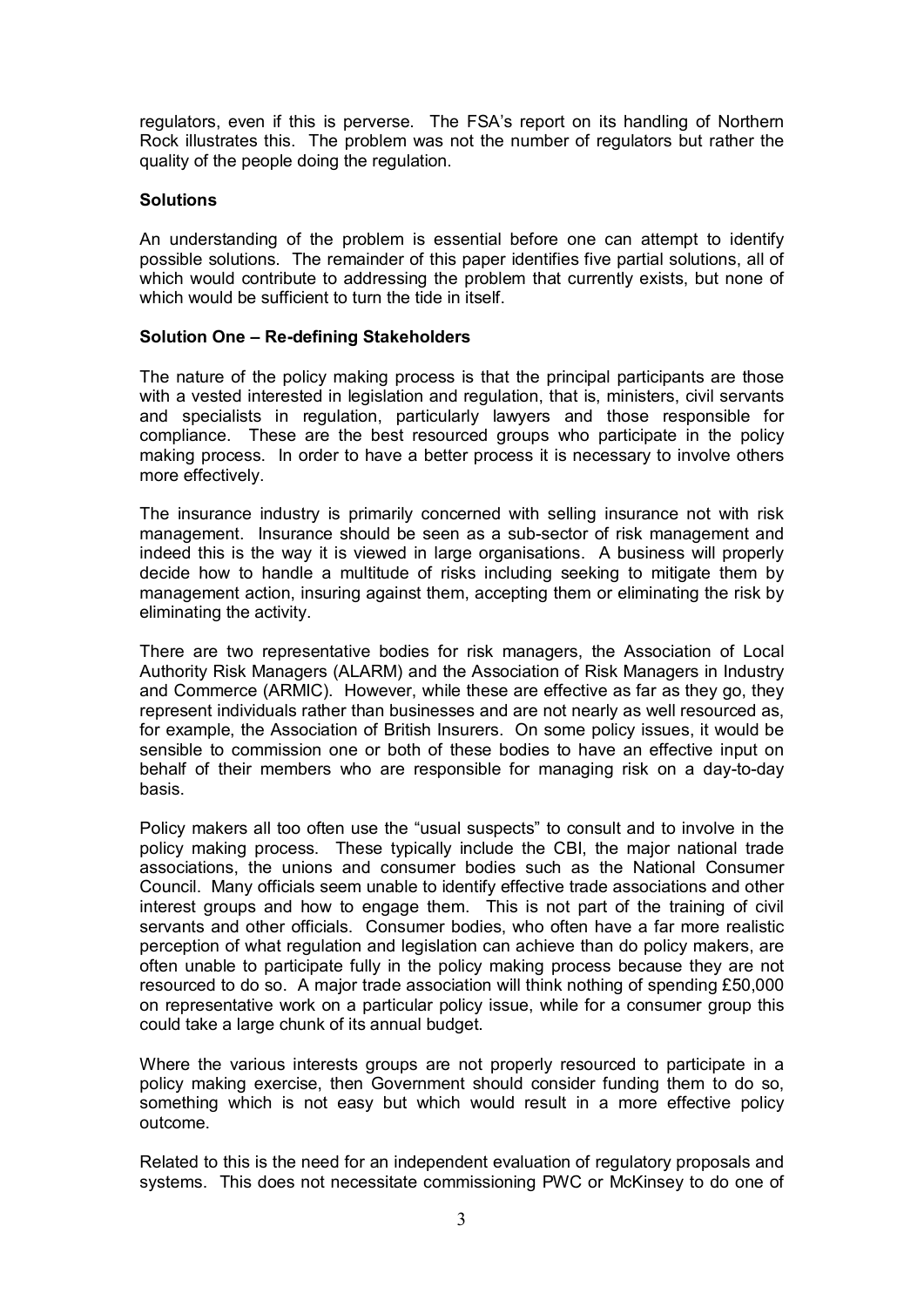regulators, even if this is perverse. The FSA's report on its handling of Northern Rock illustrates this. The problem was not the number of regulators but rather the quality of the people doing the regulation.

# **Solutions**

An understanding of the problem is essential before one can attempt to identify possible solutions. The remainder of this paper identifies five partial solutions, all of which would contribute to addressing the problem that currently exists, but none of which would be sufficient to turn the tide in itself.

# **Solution One – Re-defining Stakeholders**

The nature of the policy making process is that the principal participants are those with a vested interested in legislation and regulation, that is, ministers, civil servants and specialists in regulation, particularly lawyers and those responsible for compliance. These are the best resourced groups who participate in the policy making process. In order to have a better process it is necessary to involve others more effectively.

The insurance industry is primarily concerned with selling insurance not with risk management. Insurance should be seen as a sub-sector of risk management and indeed this is the way it is viewed in large organisations. A business will properly decide how to handle a multitude of risks including seeking to mitigate them by management action, insuring against them, accepting them or eliminating the risk by eliminating the activity.

There are two representative bodies for risk managers, the Association of Local Authority Risk Managers (ALARM) and the Association of Risk Managers in Industry and Commerce (ARMIC). However, while these are effective as far as they go, they represent individuals rather than businesses and are not nearly as well resourced as, for example, the Association of British Insurers. On some policy issues, it would be sensible to commission one or both of these bodies to have an effective input on behalf of their members who are responsible for managing risk on a day-to-day basis.

Policy makers all too often use the "usual suspects" to consult and to involve in the policy making process. These typically include the CBI, the major national trade associations, the unions and consumer bodies such as the National Consumer Council. Many officials seem unable to identify effective trade associations and other interest groups and how to engage them. This is not part of the training of civil servants and other officials. Consumer bodies, who often have a far more realistic perception of what regulation and legislation can achieve than do policy makers, are often unable to participate fully in the policy making process because they are not resourced to do so. A major trade association will think nothing of spending £50,000 on representative work on a particular policy issue, while for a consumer group this could take a large chunk of its annual budget.

Where the various interests groups are not properly resourced to participate in a policy making exercise, then Government should consider funding them to do so, something which is not easy but which would result in a more effective policy outcome.

Related to this is the need for an independent evaluation of regulatory proposals and systems. This does not necessitate commissioning PWC or McKinsey to do one of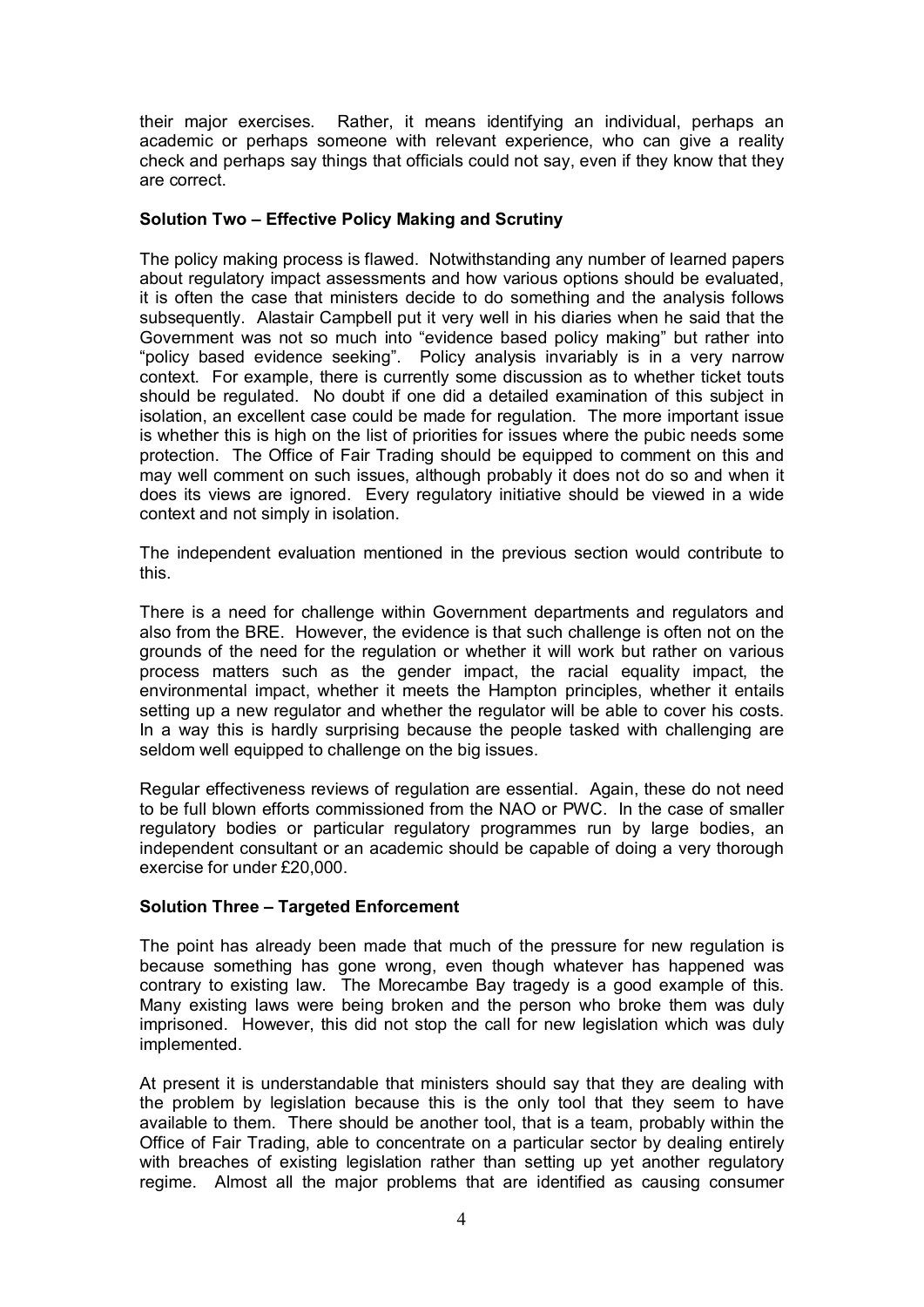their major exercises. Rather, it means identifying an individual, perhaps an academic or perhaps someone with relevant experience, who can give a reality check and perhaps say things that officials could not say, even if they know that they are correct.

# **Solution Two – Effective Policy Making and Scrutiny**

The policy making process is flawed. Notwithstanding any number of learned papers about regulatory impact assessments and how various options should be evaluated, it is often the case that ministers decide to do something and the analysis follows subsequently. Alastair Campbell put it very well in his diaries when he said that the Government was not so much into "evidence based policy making" but rather into "policy based evidence seeking". Policy analysis invariably is in a very narrow context. For example, there is currently some discussion as to whether ticket touts should be regulated. No doubt if one did a detailed examination of this subject in isolation, an excellent case could be made for regulation. The more important issue is whether this is high on the list of priorities for issues where the pubic needs some protection. The Office of Fair Trading should be equipped to comment on this and may well comment on such issues, although probably it does not do so and when it does its views are ignored. Every regulatory initiative should be viewed in a wide context and not simply in isolation.

The independent evaluation mentioned in the previous section would contribute to this.

There is a need for challenge within Government departments and regulators and also from the BRE. However, the evidence is that such challenge is often not on the grounds of the need for the regulation or whether it will work but rather on various process matters such as the gender impact, the racial equality impact, the environmental impact, whether it meets the Hampton principles, whether it entails setting up a new regulator and whether the regulator will be able to cover his costs. In a way this is hardly surprising because the people tasked with challenging are seldom well equipped to challenge on the big issues.

Regular effectiveness reviews of regulation are essential. Again, these do not need to be full blown efforts commissioned from the NAO or PWC. In the case of smaller regulatory bodies or particular regulatory programmes run by large bodies, an independent consultant or an academic should be capable of doing a very thorough exercise for under £20,000.

#### **Solution Three – Targeted Enforcement**

The point has already been made that much of the pressure for new regulation is because something has gone wrong, even though whatever has happened was contrary to existing law. The Morecambe Bay tragedy is a good example of this. Many existing laws were being broken and the person who broke them was duly imprisoned. However, this did not stop the call for new legislation which was duly implemented.

At present it is understandable that ministers should say that they are dealing with the problem by legislation because this is the only tool that they seem to have available to them. There should be another tool, that is a team, probably within the Office of Fair Trading, able to concentrate on a particular sector by dealing entirely with breaches of existing legislation rather than setting up yet another regulatory regime. Almost all the major problems that are identified as causing consumer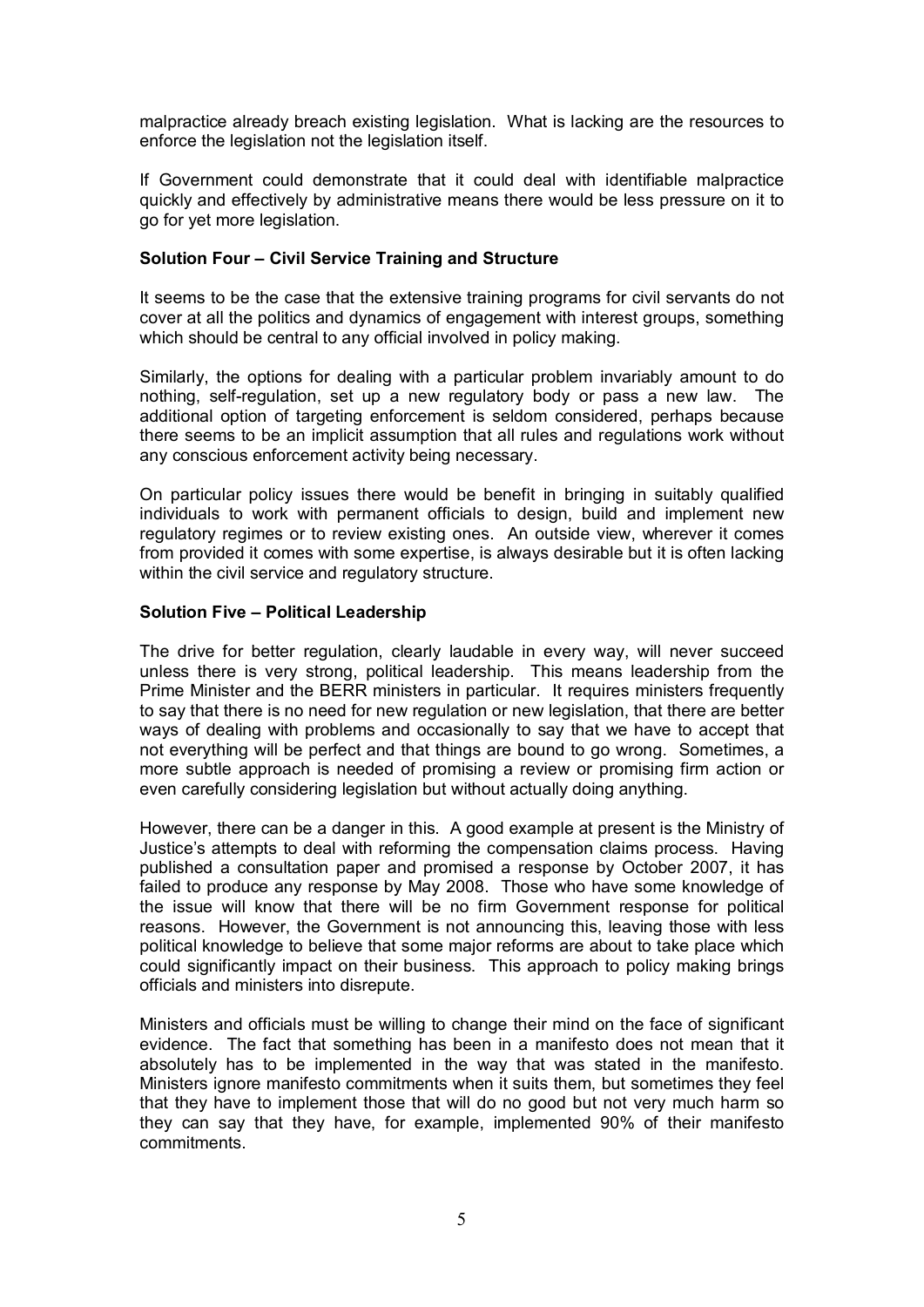malpractice already breach existing legislation. What is lacking are the resources to enforce the legislation not the legislation itself.

If Government could demonstrate that it could deal with identifiable malpractice quickly and effectively by administrative means there would be less pressure on it to go for yet more legislation.

## **Solution Four – Civil Service Training and Structure**

It seems to be the case that the extensive training programs for civil servants do not cover at all the politics and dynamics of engagement with interest groups, something which should be central to any official involved in policy making.

Similarly, the options for dealing with a particular problem invariably amount to do nothing, self-regulation, set up a new regulatory body or pass a new law. The additional option of targeting enforcement is seldom considered, perhaps because there seems to be an implicit assumption that all rules and regulations work without any conscious enforcement activity being necessary.

On particular policy issues there would be benefit in bringing in suitably qualified individuals to work with permanent officials to design, build and implement new regulatory regimes or to review existing ones. An outside view, wherever it comes from provided it comes with some expertise, is always desirable but it is often lacking within the civil service and regulatory structure.

## **Solution Five – Political Leadership**

The drive for better regulation, clearly laudable in every way, will never succeed unless there is very strong, political leadership. This means leadership from the Prime Minister and the BERR ministers in particular. It requires ministers frequently to say that there is no need for new regulation or new legislation, that there are better ways of dealing with problems and occasionally to say that we have to accept that not everything will be perfect and that things are bound to go wrong. Sometimes, a more subtle approach is needed of promising a review or promising firm action or even carefully considering legislation but without actually doing anything.

However, there can be a danger in this. A good example at present is the Ministry of Justice's attempts to deal with reforming the compensation claims process. Having published a consultation paper and promised a response by October 2007, it has failed to produce any response by May 2008. Those who have some knowledge of the issue will know that there will be no firm Government response for political reasons. However, the Government is not announcing this, leaving those with less political knowledge to believe that some major reforms are about to take place which could significantly impact on their business. This approach to policy making brings officials and ministers into disrepute.

Ministers and officials must be willing to change their mind on the face of significant evidence. The fact that something has been in a manifesto does not mean that it absolutely has to be implemented in the way that was stated in the manifesto. Ministers ignore manifesto commitments when it suits them, but sometimes they feel that they have to implement those that will do no good but not very much harm so they can say that they have, for example, implemented 90% of their manifesto commitments.